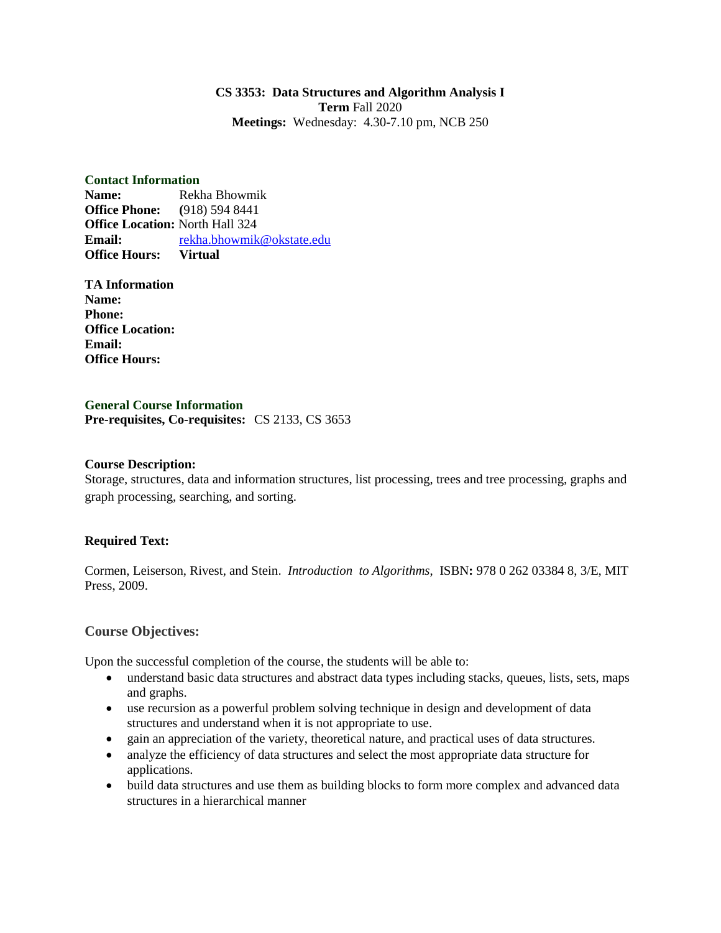### **CS 3353: Data Structures and Algorithm Analysis I Term** Fall 2020 **Meetings:** Wednesday: 4.30-7.10 pm, NCB 250

#### **Contact Information**

**Name:** Rekha Bhowmik **Office Phone: (**918) 594 8441 **Office Location:** North Hall 324 **Email:** [rekha.bhowmik@okstate.edu](mailto:rekha.bhowmik@okstate.edu) **Office Hours: Virtual**

**TA Information Name: Phone: Office Location: Email: Office Hours:** 

**General Course Information Pre-requisites, Co-requisites:** CS 2133, CS 3653

### **Course Description:**

Storage, structures, data and information structures, list processing, trees and tree processing, graphs and graph processing, searching, and sorting.

### **Required Text:**

Cormen, Leiserson, Rivest, and Stein. *Introduction to Algorithms*, ISBN**:** 978 0 262 03384 8, 3/E, MIT Press, 2009.

## **Course Objectives:**

Upon the successful completion of the course, the students will be able to:

- understand basic data structures and abstract data types including stacks, queues, lists, sets, maps and graphs.
- use recursion as a powerful problem solving technique in design and development of data structures and understand when it is not appropriate to use.
- gain an appreciation of the variety, theoretical nature, and practical uses of data structures.
- analyze the efficiency of data structures and select the most appropriate data structure for applications.
- build data structures and use them as building blocks to form more complex and advanced data structures in a hierarchical manner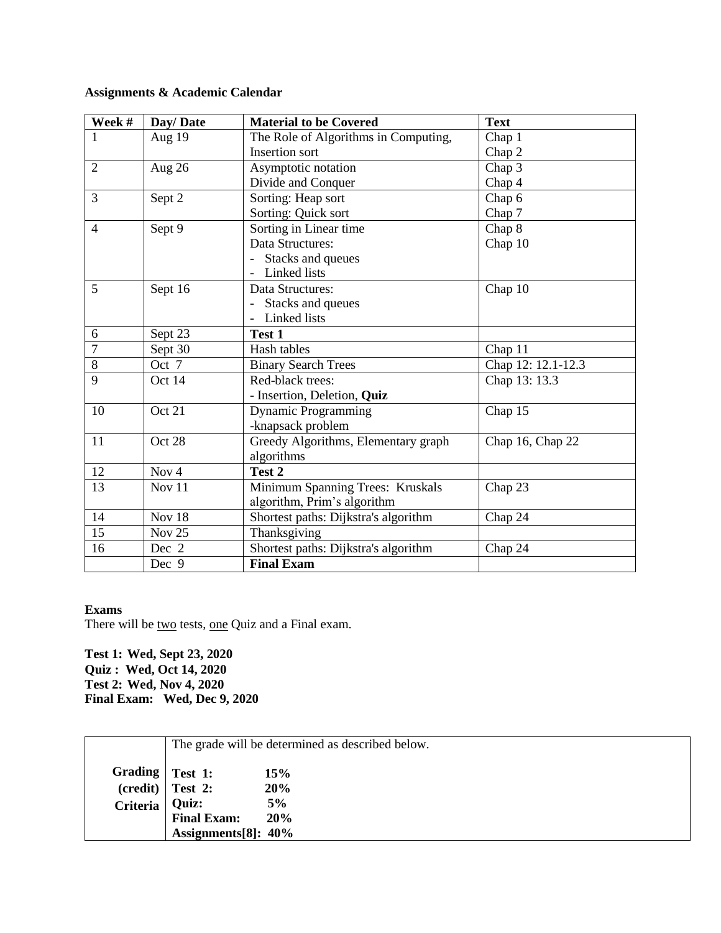# **Assignments & Academic Calendar**

| Week #         | Day/Date         | <b>Material to be Covered</b>        | <b>Text</b>        |
|----------------|------------------|--------------------------------------|--------------------|
| $\mathbf{1}$   | Aug 19           | The Role of Algorithms in Computing, | Chap 1             |
|                |                  | <b>Insertion sort</b>                | Chap 2             |
| $\overline{2}$ | Aug 26           | Asymptotic notation                  | Chap 3             |
|                |                  | Divide and Conquer                   | Chap 4             |
| 3              | Sept 2           | Sorting: Heap sort                   | Chap 6             |
|                |                  | Sorting: Quick sort                  | Chap 7             |
| $\overline{4}$ | Sept 9           | Sorting in Linear time               | Chap 8             |
|                |                  | Data Structures:                     | Chap 10            |
|                |                  | Stacks and queues                    |                    |
|                |                  | Linked lists                         |                    |
| 5              | Sept 16          | Data Structures:                     | Chap 10            |
|                |                  | Stacks and queues                    |                    |
|                |                  | Linked lists                         |                    |
| 6              | Sept 23          | Test 1                               |                    |
| $\overline{7}$ | Sept 30          | Hash tables                          | Chap 11            |
| $8\,$          | Oct 7            | <b>Binary Search Trees</b>           | Chap 12: 12.1-12.3 |
| 9              | Oct 14           | Red-black trees:                     | Chap 13: 13.3      |
|                |                  | - Insertion, Deletion, Quiz          |                    |
| 10             | Oct 21           | <b>Dynamic Programming</b>           | Chap 15            |
|                |                  | -knapsack problem                    |                    |
| 11             | Oct 28           | Greedy Algorithms, Elementary graph  | Chap 16, Chap 22   |
|                |                  | algorithms                           |                    |
| 12             | Nov <sub>4</sub> | Test 2                               |                    |
| 13             | Nov 11           | Minimum Spanning Trees: Kruskals     | Chap 23            |
|                |                  | algorithm, Prim's algorithm          |                    |
| 14             | Nov 18           | Shortest paths: Dijkstra's algorithm | Chap 24            |
| 15             | Nov $25$         | Thanksgiving                         |                    |
| 16             | Dec 2            | Shortest paths: Dijkstra's algorithm | Chap 24            |
|                | Dec 9            | <b>Final Exam</b>                    |                    |

### **Exams**

There will be two tests, one Quiz and a Final exam.

**Test 1: Wed, Sept 23, 2020 Quiz : Wed, Oct 14, 2020 Test 2: Wed, Nov 4, 2020 Final Exam: Wed, Dec 9, 2020**

|                 | The grade will be determined as described below. |     |
|-----------------|--------------------------------------------------|-----|
|                 | Grading   Test 1:                                | 15% |
|                 | $(credit)$ Test 2:                               | 20% |
| <b>Criteria</b> | Quiz:                                            | 5%  |
|                 | <b>Final Exam:</b>                               | 20% |
|                 | Assignments[8]: 40%                              |     |